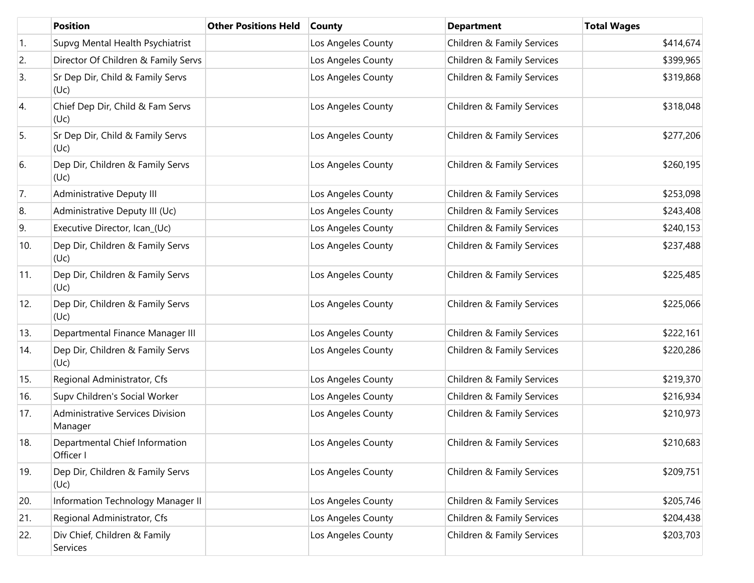|            | <b>Position</b>                                    | <b>Other Positions Held</b> | <b>County</b>      | <b>Department</b>          | <b>Total Wages</b> |
|------------|----------------------------------------------------|-----------------------------|--------------------|----------------------------|--------------------|
| $\vert$ 1. | Supvg Mental Health Psychiatrist                   |                             | Los Angeles County | Children & Family Services | \$414,674          |
| 2.         | Director Of Children & Family Servs                |                             | Los Angeles County | Children & Family Services | \$399,965          |
| 3.         | Sr Dep Dir, Child & Family Servs<br>(Uc)           |                             | Los Angeles County | Children & Family Services | \$319,868          |
| 4.         | Chief Dep Dir, Child & Fam Servs<br>(Uc)           |                             | Los Angeles County | Children & Family Services | \$318,048          |
| 5.         | Sr Dep Dir, Child & Family Servs<br>(Uc)           |                             | Los Angeles County | Children & Family Services | \$277,206          |
| 6.         | Dep Dir, Children & Family Servs<br>(Uc)           |                             | Los Angeles County | Children & Family Services | \$260,195          |
| 7.         | Administrative Deputy III                          |                             | Los Angeles County | Children & Family Services | \$253,098          |
| 8.         | Administrative Deputy III (Uc)                     |                             | Los Angeles County | Children & Family Services | \$243,408          |
| 9.         | Executive Director, Ican_(Uc)                      |                             | Los Angeles County | Children & Family Services | \$240,153          |
| 10.        | Dep Dir, Children & Family Servs<br>(Uc)           |                             | Los Angeles County | Children & Family Services | \$237,488          |
| 11.        | Dep Dir, Children & Family Servs<br>(Uc)           |                             | Los Angeles County | Children & Family Services | \$225,485          |
| 12.        | Dep Dir, Children & Family Servs<br>(Uc)           |                             | Los Angeles County | Children & Family Services | \$225,066          |
| 13.        | Departmental Finance Manager III                   |                             | Los Angeles County | Children & Family Services | \$222,161          |
| 14.        | Dep Dir, Children & Family Servs<br>(Uc)           |                             | Los Angeles County | Children & Family Services | \$220,286          |
| 15.        | Regional Administrator, Cfs                        |                             | Los Angeles County | Children & Family Services | \$219,370          |
| 16.        | Supv Children's Social Worker                      |                             | Los Angeles County | Children & Family Services | \$216,934          |
| 17.        | <b>Administrative Services Division</b><br>Manager |                             | Los Angeles County | Children & Family Services | \$210,973          |
| 18.        | Departmental Chief Information<br>Officer I        |                             | Los Angeles County | Children & Family Services | \$210,683          |
| 19.        | Dep Dir, Children & Family Servs<br>(Uc)           |                             | Los Angeles County | Children & Family Services | \$209,751          |
| 20.        | Information Technology Manager II                  |                             | Los Angeles County | Children & Family Services | \$205,746          |
| 21.        | Regional Administrator, Cfs                        |                             | Los Angeles County | Children & Family Services | \$204,438          |
| 22.        | Div Chief, Children & Family<br>Services           |                             | Los Angeles County | Children & Family Services | \$203,703          |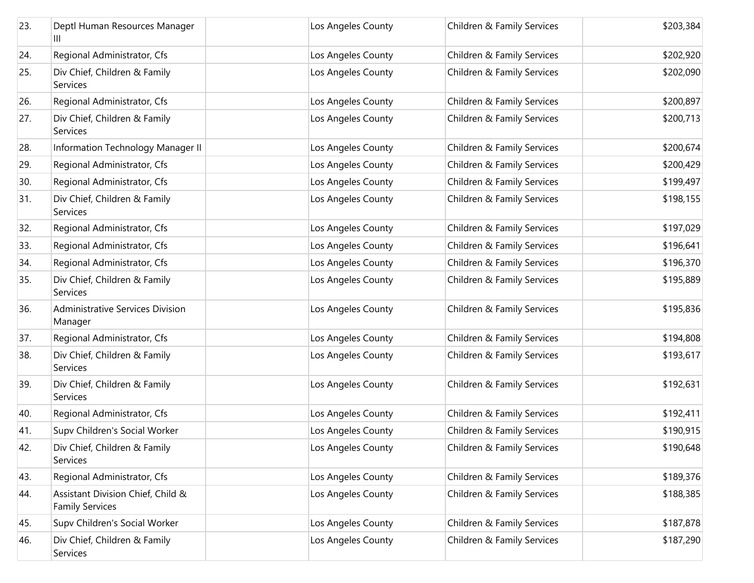| 23. | Deptl Human Resources Manager<br>Ш                          | Los Angeles County | Children & Family Services | \$203,384 |
|-----|-------------------------------------------------------------|--------------------|----------------------------|-----------|
| 24. | Regional Administrator, Cfs                                 | Los Angeles County | Children & Family Services | \$202,920 |
| 25. | Div Chief, Children & Family<br>Services                    | Los Angeles County | Children & Family Services | \$202,090 |
| 26. | Regional Administrator, Cfs                                 | Los Angeles County | Children & Family Services | \$200,897 |
| 27. | Div Chief, Children & Family<br><b>Services</b>             | Los Angeles County | Children & Family Services | \$200,713 |
| 28. | Information Technology Manager II                           | Los Angeles County | Children & Family Services | \$200,674 |
| 29. | Regional Administrator, Cfs                                 | Los Angeles County | Children & Family Services | \$200,429 |
| 30. | Regional Administrator, Cfs                                 | Los Angeles County | Children & Family Services | \$199,497 |
| 31. | Div Chief, Children & Family<br>Services                    | Los Angeles County | Children & Family Services | \$198,155 |
| 32. | Regional Administrator, Cfs                                 | Los Angeles County | Children & Family Services | \$197,029 |
| 33. | Regional Administrator, Cfs                                 | Los Angeles County | Children & Family Services | \$196,641 |
| 34. | Regional Administrator, Cfs                                 | Los Angeles County | Children & Family Services | \$196,370 |
| 35. | Div Chief, Children & Family<br>Services                    | Los Angeles County | Children & Family Services | \$195,889 |
| 36. | <b>Administrative Services Division</b><br>Manager          | Los Angeles County | Children & Family Services | \$195,836 |
| 37. | Regional Administrator, Cfs                                 | Los Angeles County | Children & Family Services | \$194,808 |
| 38. | Div Chief, Children & Family<br>Services                    | Los Angeles County | Children & Family Services | \$193,617 |
| 39. | Div Chief, Children & Family<br>Services                    | Los Angeles County | Children & Family Services | \$192,631 |
| 40. | Regional Administrator, Cfs                                 | Los Angeles County | Children & Family Services | \$192,411 |
| 41. | Supv Children's Social Worker                               | Los Angeles County | Children & Family Services | \$190,915 |
| 42. | Div Chief, Children & Family<br>Services                    | Los Angeles County | Children & Family Services | \$190,648 |
| 43. | Regional Administrator, Cfs                                 | Los Angeles County | Children & Family Services | \$189,376 |
| 44. | Assistant Division Chief, Child &<br><b>Family Services</b> | Los Angeles County | Children & Family Services | \$188,385 |
| 45. | Supv Children's Social Worker                               | Los Angeles County | Children & Family Services | \$187,878 |
| 46. | Div Chief, Children & Family<br>Services                    | Los Angeles County | Children & Family Services | \$187,290 |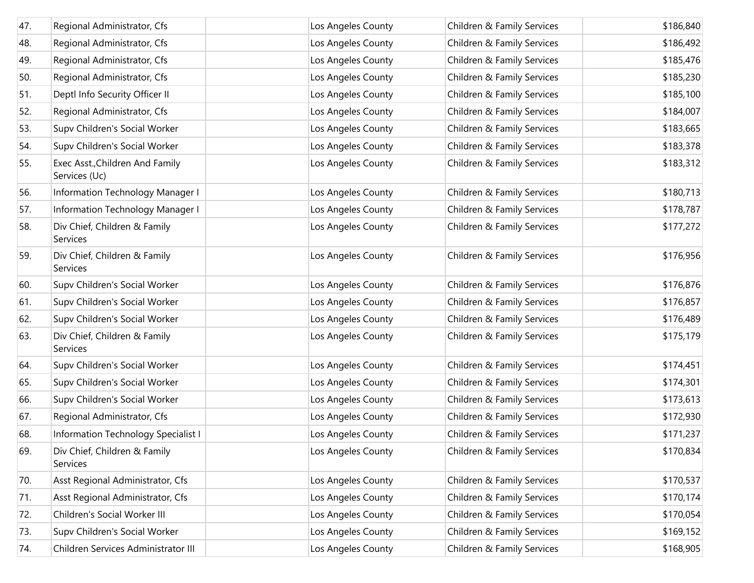| 47. | Regional Administrator, Cfs                      | Los Angeles County | Children & Family Services | \$186,840 |
|-----|--------------------------------------------------|--------------------|----------------------------|-----------|
| 48. | Regional Administrator, Cfs                      | Los Angeles County | Children & Family Services | \$186,492 |
| 49. | Regional Administrator, Cfs                      | Los Angeles County | Children & Family Services | \$185,476 |
| 50. | Regional Administrator, Cfs                      | Los Angeles County | Children & Family Services | \$185,230 |
| 51. | Deptl Info Security Officer II                   | Los Angeles County | Children & Family Services | \$185,100 |
| 52. | Regional Administrator, Cfs                      | Los Angeles County | Children & Family Services | \$184,007 |
| 53. | Supv Children's Social Worker                    | Los Angeles County | Children & Family Services | \$183,665 |
| 54. | Supv Children's Social Worker                    | Los Angeles County | Children & Family Services | \$183,378 |
| 55. | Exec Asst., Children And Family<br>Services (Uc) | Los Angeles County | Children & Family Services | \$183,312 |
| 56. | Information Technology Manager I                 | Los Angeles County | Children & Family Services | \$180,713 |
| 57. | Information Technology Manager I                 | Los Angeles County | Children & Family Services | \$178,787 |
| 58. | Div Chief, Children & Family<br>Services         | Los Angeles County | Children & Family Services | \$177,272 |
| 59. | Div Chief, Children & Family<br>Services         | Los Angeles County | Children & Family Services | \$176,956 |
| 60. | Supv Children's Social Worker                    | Los Angeles County | Children & Family Services | \$176,876 |
| 61. | Supv Children's Social Worker                    | Los Angeles County | Children & Family Services | \$176,857 |
| 62. | Supv Children's Social Worker                    | Los Angeles County | Children & Family Services | \$176,489 |
| 63. | Div Chief, Children & Family<br>Services         | Los Angeles County | Children & Family Services | \$175,179 |
| 64. | Supv Children's Social Worker                    | Los Angeles County | Children & Family Services | \$174,451 |
| 65. | Supv Children's Social Worker                    | Los Angeles County | Children & Family Services | \$174,301 |
| 66. | Supv Children's Social Worker                    | Los Angeles County | Children & Family Services | \$173,613 |
| 67. | Regional Administrator, Cfs                      | Los Angeles County | Children & Family Services | \$172,930 |
| 68. | Information Technology Specialist I              | Los Angeles County | Children & Family Services | \$171,237 |
| 69. | Div Chief, Children & Family<br>Services         | Los Angeles County | Children & Family Services | \$170,834 |
| 70. | Asst Regional Administrator, Cfs                 | Los Angeles County | Children & Family Services | \$170,537 |
| 71. | Asst Regional Administrator, Cfs                 | Los Angeles County | Children & Family Services | \$170,174 |
| 72. | Children's Social Worker III                     | Los Angeles County | Children & Family Services | \$170,054 |
| 73. | Supv Children's Social Worker                    | Los Angeles County | Children & Family Services | \$169,152 |
| 74. | Children Services Administrator III              | Los Angeles County | Children & Family Services | \$168,905 |